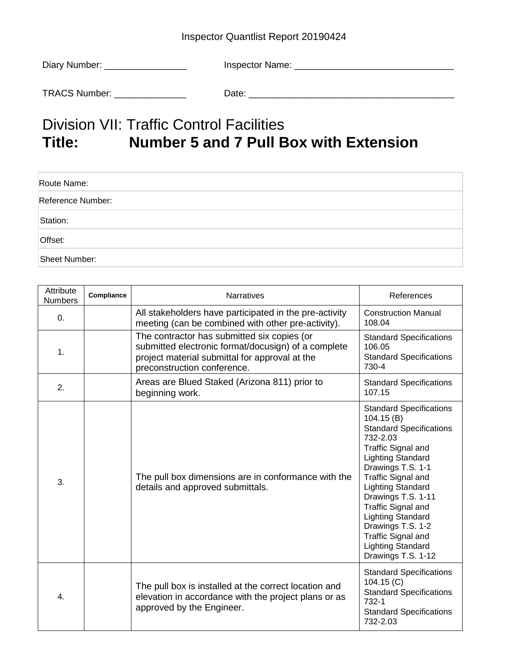## Inspector Quantlist Report 20190424

| Diary Number: _ | Inspector Name: |
|-----------------|-----------------|
| TRACS Number:   | Date:           |

## Division VII: Traffic Control Facilities<br>Title: Number 5 and 7 Pull B **Title: Number 5 and 7 Pull Box with Extension**

| Route Name:       |  |
|-------------------|--|
| Reference Number: |  |
| Station:          |  |
| Offset:           |  |
| Sheet Number:     |  |

| Attribute<br><b>Numbers</b> | Compliance | <b>Narratives</b>                                                                                                                                                                   | References                                                                                                                                                                                                                                                                                                                                                                                                          |
|-----------------------------|------------|-------------------------------------------------------------------------------------------------------------------------------------------------------------------------------------|---------------------------------------------------------------------------------------------------------------------------------------------------------------------------------------------------------------------------------------------------------------------------------------------------------------------------------------------------------------------------------------------------------------------|
| 0.                          |            | All stakeholders have participated in the pre-activity<br>meeting (can be combined with other pre-activity).                                                                        | <b>Construction Manual</b><br>108.04                                                                                                                                                                                                                                                                                                                                                                                |
| 1.                          |            | The contractor has submitted six copies (or<br>submitted electronic format/docusign) of a complete<br>project material submittal for approval at the<br>preconstruction conference. | <b>Standard Specifications</b><br>106.05<br><b>Standard Specifications</b><br>730-4                                                                                                                                                                                                                                                                                                                                 |
| 2.                          |            | Areas are Blued Staked (Arizona 811) prior to<br>beginning work.                                                                                                                    | <b>Standard Specifications</b><br>107.15                                                                                                                                                                                                                                                                                                                                                                            |
| 3.                          |            | The pull box dimensions are in conformance with the<br>details and approved submittals.                                                                                             | <b>Standard Specifications</b><br>104.15(B)<br><b>Standard Specifications</b><br>732-2.03<br><b>Traffic Signal and</b><br><b>Lighting Standard</b><br>Drawings T.S. 1-1<br><b>Traffic Signal and</b><br><b>Lighting Standard</b><br>Drawings T.S. 1-11<br><b>Traffic Signal and</b><br><b>Lighting Standard</b><br>Drawings T.S. 1-2<br><b>Traffic Signal and</b><br><b>Lighting Standard</b><br>Drawings T.S. 1-12 |
| 4.                          |            | The pull box is installed at the correct location and<br>elevation in accordance with the project plans or as<br>approved by the Engineer.                                          | <b>Standard Specifications</b><br>104.15(C)<br><b>Standard Specifications</b><br>732-1<br><b>Standard Specifications</b><br>732-2.03                                                                                                                                                                                                                                                                                |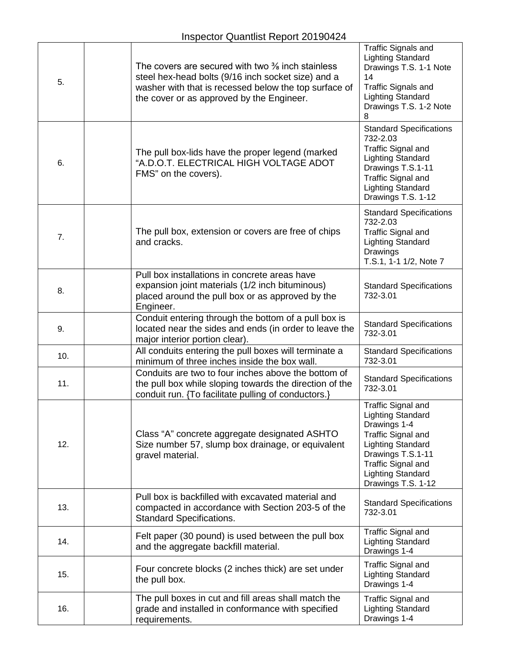| 5.  | The covers are secured with two $\frac{3}{8}$ inch stainless<br>steel hex-head bolts (9/16 inch socket size) and a<br>washer with that is recessed below the top surface of<br>the cover or as approved by the Engineer. | Traffic Signals and<br><b>Lighting Standard</b><br>Drawings T.S. 1-1 Note<br>14<br><b>Traffic Signals and</b><br><b>Lighting Standard</b><br>Drawings T.S. 1-2 Note<br>8                                                    |
|-----|--------------------------------------------------------------------------------------------------------------------------------------------------------------------------------------------------------------------------|-----------------------------------------------------------------------------------------------------------------------------------------------------------------------------------------------------------------------------|
| 6.  | The pull box-lids have the proper legend (marked<br>"A.D.O.T. ELECTRICAL HIGH VOLTAGE ADOT<br>FMS" on the covers).                                                                                                       | <b>Standard Specifications</b><br>732-2.03<br><b>Traffic Signal and</b><br><b>Lighting Standard</b><br>Drawings T.S.1-11<br><b>Traffic Signal and</b><br><b>Lighting Standard</b><br>Drawings T.S. 1-12                     |
| 7.  | The pull box, extension or covers are free of chips<br>and cracks.                                                                                                                                                       | <b>Standard Specifications</b><br>732-2.03<br><b>Traffic Signal and</b><br><b>Lighting Standard</b><br>Drawings<br>T.S.1, 1-1 1/2, Note 7                                                                                   |
| 8.  | Pull box installations in concrete areas have<br>expansion joint materials (1/2 inch bituminous)<br>placed around the pull box or as approved by the<br>Engineer.                                                        | <b>Standard Specifications</b><br>732-3.01                                                                                                                                                                                  |
| 9.  | Conduit entering through the bottom of a pull box is<br>located near the sides and ends (in order to leave the<br>major interior portion clear).                                                                         | <b>Standard Specifications</b><br>732-3.01                                                                                                                                                                                  |
| 10. | All conduits entering the pull boxes will terminate a<br>minimum of three inches inside the box wall.                                                                                                                    | <b>Standard Specifications</b><br>732-3.01                                                                                                                                                                                  |
| 11. | Conduits are two to four inches above the bottom of<br>the pull box while sloping towards the direction of the<br>conduit run. {To facilitate pulling of conductors.}                                                    | <b>Standard Specifications</b><br>732-3.01                                                                                                                                                                                  |
| 12. | Class "A" concrete aggregate designated ASHTO<br>Size number 57, slump box drainage, or equivalent<br>gravel material.                                                                                                   | <b>Traffic Signal and</b><br><b>Lighting Standard</b><br>Drawings 1-4<br><b>Traffic Signal and</b><br><b>Lighting Standard</b><br>Drawings T.S.1-11<br>Traffic Signal and<br><b>Lighting Standard</b><br>Drawings T.S. 1-12 |
| 13. | Pull box is backfilled with excavated material and<br>compacted in accordance with Section 203-5 of the<br><b>Standard Specifications.</b>                                                                               | <b>Standard Specifications</b><br>732-3.01                                                                                                                                                                                  |
| 14. | Felt paper (30 pound) is used between the pull box<br>and the aggregate backfill material.                                                                                                                               | <b>Traffic Signal and</b><br><b>Lighting Standard</b><br>Drawings 1-4                                                                                                                                                       |
| 15. | Four concrete blocks (2 inches thick) are set under<br>the pull box.                                                                                                                                                     | <b>Traffic Signal and</b><br><b>Lighting Standard</b><br>Drawings 1-4                                                                                                                                                       |
| 16. | The pull boxes in cut and fill areas shall match the<br>grade and installed in conformance with specified<br>requirements.                                                                                               | <b>Traffic Signal and</b><br><b>Lighting Standard</b><br>Drawings 1-4                                                                                                                                                       |